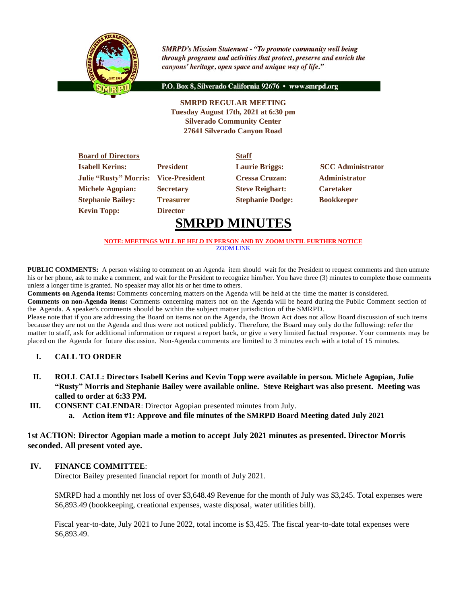

**SMRPD's Mission Statement - "To promote community well being** through programs and activities that protect, preserve and enrich the canyons' heritage, open space and unique way of life."

P.O. Box 8, Silverado California 92676 · www.smrpd.org

#### **SMRPD REGULAR MEETING Tuesday August 17th, 2021 at 6:30 pm Silverado Community Center 27641 Silverado Canyon Road**

| <b>Board of Directors</b>    |                       | <b>Staff</b>            |                          |
|------------------------------|-----------------------|-------------------------|--------------------------|
| <b>Isabell Kerins:</b>       | <b>President</b>      | <b>Laurie Briggs:</b>   | <b>SCC</b> Administrator |
| <b>Julie "Rusty" Morris:</b> | <b>Vice-President</b> | <b>Cressa Cruzan:</b>   | <b>Administrator</b>     |
| <b>Michele Agopian:</b>      | <b>Secretary</b>      | <b>Steve Reighart:</b>  | <b>Caretaker</b>         |
| <b>Stephanie Bailey:</b>     | <b>Treasurer</b>      | <b>Stephanie Dodge:</b> | <b>Bookkeeper</b>        |
| <b>Kevin Topp:</b>           | <b>Director</b>       |                         |                          |

# **SMRPD MINUTES**

#### **NOTE: MEETINGS WILL BE HELD IN PERSON AND BY ZOOM UNTIL FURTHER NOTICE** [ZOOM LINK](https://zoom.us/j/99049794367)

**PUBLIC COMMENTS:** A person wishing to comment on an Agenda item should wait for the President to request comments and then unmute his or her phone, ask to make a comment, and wait for the President to recognize him/her. You have three (3) minutes to complete those comments unless a longer time is granted. No speaker may allot his or her time to others.

**Comments on Agenda items:** Comments concerning matters on the Agenda will be held at the time the matter is considered.

**Comments on non-Agenda items:** Comments concerning matters not on the Agenda will be heard during the Public Comment section of the Agenda. A speaker's comments should be within the subject matter jurisdiction of the SMRPD.

Please note that if you are addressing the Board on items not on the Agenda, the Brown Act does not allow Board discussion of such items because they are not on the Agenda and thus were not noticed publicly. Therefore, the Board may only do the following: refer the matter to staff, ask for additional information or request a report back, or give a very limited factual response. Your comments may be placed on the Agenda for future discussion. Non-Agenda comments are limited to 3 minutes each with a total of 15 minutes.

# **I. CALL TO ORDER**

- **II. ROLL CALL: Directors Isabell Kerins and Kevin Topp were available in person. Michele Agopian, Julie "Rusty" Morris and Stephanie Bailey were available online. Steve Reighart was also present. Meeting was called to order at 6:33 PM.**
- **III. CONSENT CALENDAR**: Director Agopian presented minutes from July.
	- **a. Action item #1: Approve and file minutes of the SMRPD Board Meeting dated July 2021**

# **1st ACTION: Director Agopian made a motion to accept July 2021 minutes as presented. Director Morris seconded. All present voted aye.**

# **IV. FINANCE COMMITTEE**:

Director Bailey presented financial report for month of July 2021.

SMRPD had a monthly net loss of over \$3,648.49 Revenue for the month of July was \$3,245. Total expenses were \$6,893.49 (bookkeeping, creational expenses, waste disposal, water utilities bill).

Fiscal year-to-date, July 2021 to June 2022, total income is \$3,425. The fiscal year-to-date total expenses were \$6,893.49.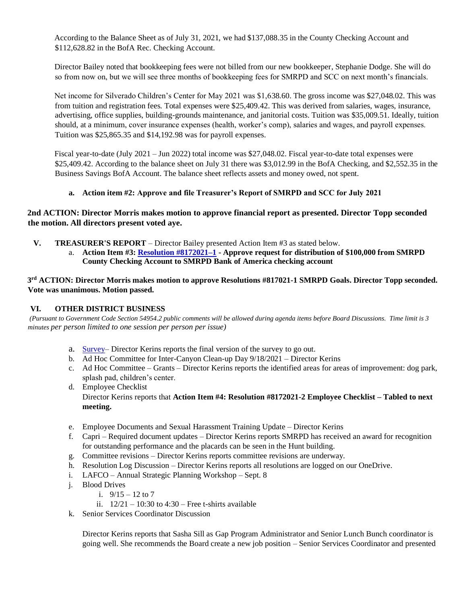According to the Balance Sheet as of July 31, 2021, we had \$137,088.35 in the County Checking Account and \$112,628.82 in the BofA Rec. Checking Account.

Director Bailey noted that bookkeeping fees were not billed from our new bookkeeper, Stephanie Dodge. She will do so from now on, but we will see three months of bookkeeping fees for SMRPD and SCC on next month's financials.

Net income for Silverado Children's Center for May 2021 was \$1,638.60. The gross income was \$27,048.02. This was from tuition and registration fees. Total expenses were \$25,409.42. This was derived from salaries, wages, insurance, advertising, office supplies, building-grounds maintenance, and janitorial costs. Tuition was \$35,009.51. Ideally, tuition should, at a minimum, cover insurance expenses (health, worker's comp), salaries and wages, and payroll expenses. Tuition was \$25,865.35 and \$14,192.98 was for payroll expenses.

Fiscal year-to-date (July 2021 – Jun 2022) total income was \$27,048.02. Fiscal year-to-date total expenses were \$25,409.42. According to the balance sheet on July 31 there was \$3,012.99 in the BofA Checking, and \$2,552.35 in the Business Savings BofA Account. The balance sheet reflects assets and money owed, not spent.

# **a. Action item #2: Approve and file Treasurer's Report of SMRPD and SCC for July 2021**

# **2nd ACTION: Director Morris makes motion to approve financial report as presented. Director Topp seconded the motion. All directors present voted aye.**

- **V. TREASURER'S REPORT** Director Bailey presented Action Item #3 as stated below.
	- a. **Action Item #3: [Resolution #8172021–1](https://1drv.ms/b/s!An_OKisCbP0FjBHzHCBMiyrEqyKU?e=hZfpJJ) - Approve request for distribution of \$100,000 from SMRPD County Checking Account to SMRPD Bank of America checking account**

**3 rd ACTION: Director Morris makes motion to approve Resolutions #817021-1 SMRPD Goals. Director Topp seconded. Vote was unanimous. Motion passed.**

# **VI. OTHER DISTRICT BUSINESS**

*(Pursuant to Government Code Section 54954.2 public comments will be allowed during agenda items before Board Discussions. Time limit is 3 minutes per person limited to one session per person per issue)*

- a. [Survey–](https://survey.alchemer-ca.com/s3/50121364/SMRPD-Residents-Survey-2021) Director Kerins reports the final version of the survey to go out.
- b. Ad Hoc Committee for Inter-Canyon Clean-up Day 9/18/2021 Director Kerins
- c. Ad Hoc Committee Grants Director Kerins reports the identified areas for areas of improvement: dog park, splash pad, children's center.
- d. Employee Checklist Director Kerins reports that **Action Item #4: Resolution #8172021-2 Employee Checklist – Tabled to next meeting.**
- e. Employee Documents and Sexual Harassment Training Update Director Kerins
- f. Capri Required document updates Director Kerins reports SMRPD has received an award for recognition for outstanding performance and the placards can be seen in the Hunt building.
- g. Committee revisions Director Kerins reports committee revisions are underway.
- h. Resolution Log Discussion Director Kerins reports all resolutions are logged on our OneDrive.
- i. LAFCO Annual Strategic Planning Workshop Sept. 8
- j. Blood Drives
	- i.  $9/15 = 12$  to  $7$ .
	- ii.  $12/21 10:30$  to  $4:30$  Free t-shirts available
- k. Senior Services Coordinator Discussion

Director Kerins reports that Sasha Sill as Gap Program Administrator and Senior Lunch Bunch coordinator is going well. She recommends the Board create a new job position – Senior Services Coordinator and presented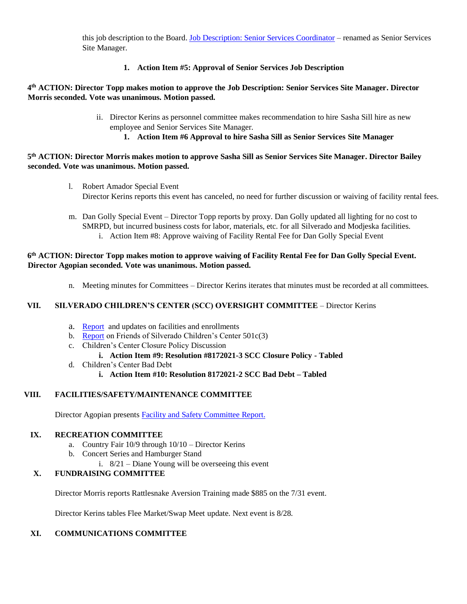this job description to the Board. [Job Description: Senior Services Coordinator](https://1drv.ms/b/s!An_OKisCbP0FjB2eI8O1ZV6jTQon?e=dr1xLf) – renamed as Senior Services Site Manager.

**1. Action Item #5: Approval of Senior Services Job Description** 

# **4 th ACTION: Director Topp makes motion to approve the Job Description: Senior Services Site Manager. Director Morris seconded. Vote was unanimous. Motion passed.**

- ii. Director Kerins as personnel committee makes recommendation to hire Sasha Sill hire as new employee and Senior Services Site Manager.
	- **1. Action Item #6 Approval to hire Sasha Sill as Senior Services Site Manager**

# **5 th ACTION: Director Morris makes motion to approve Sasha Sill as Senior Services Site Manager. Director Bailey seconded. Vote was unanimous. Motion passed.**

- l. Robert Amador Special Event Director Kerins reports this event has canceled, no need for further discussion or waiving of facility rental fees.
- m. Dan Golly Special Event Director Topp reports by proxy. Dan Golly updated all lighting for no cost to SMRPD, but incurred business costs for labor, materials, etc. for all Silverado and Modjeska facilities. i. Action Item #8: Approve waiving of Facility Rental Fee for Dan Golly Special Event

# **6 th ACTION: Director Topp makes motion to approve waiving of Facility Rental Fee for Dan Golly Special Event. Director Agopian seconded. Vote was unanimous. Motion passed.**

n. Meeting minutes for Committees – Director Kerins iterates that minutes must be recorded at all committees.

# **VII. SILVERADO CHILDREN'S CENTER (SCC) OVERSIGHT COMMITTEE** – Director Kerins

- a. [Report](https://1drv.ms/w/s!An_OKisCbP0FjBe3ysx3pzaqRRYl?e=NIHwkJ) and updates on facilities and enrollments
- b. [Report](https://1drv.ms/u/s!An_OKisCbP0FjBgTvEq9jqCwIJms?e=3hGv3q) on Friends of Silverado Children's Center 501c(3)
- c. Children's Center Closure Policy Discussion

# **i. Action Item #9: Resolution #8172021-3 SCC Closure Policy - Tabled**

- d. Children's Center Bad Debt
	- **i. Action Item #10: Resolution 8172021-2 SCC Bad Debt – Tabled**

# **VIII. FACILITIES/SAFETY/MAINTENANCE COMMITTEE**

Director Agopian presents [Facility and Safety Committee](https://onedrive.live.com/?cid=05FD6C022B2ACE7F&id=5FD6C022B2ACE7F%211572&parId=5FD6C022B2ACE7F%21244&o=OneUp) Report.

# **IX. RECREATION COMMITTEE**

- a. Country Fair 10/9 through 10/10 Director Kerins
- b. Concert Series and Hamburger Stand
- i. 8/21 Diane Young will be overseeing this event

# **X. FUNDRAISING COMMITTEE**

Director Morris reports Rattlesnake Aversion Training made \$885 on the 7/31 event.

Director Kerins tables Flee Market/Swap Meet update. Next event is 8/28.

# **XI. COMMUNICATIONS COMMITTEE**